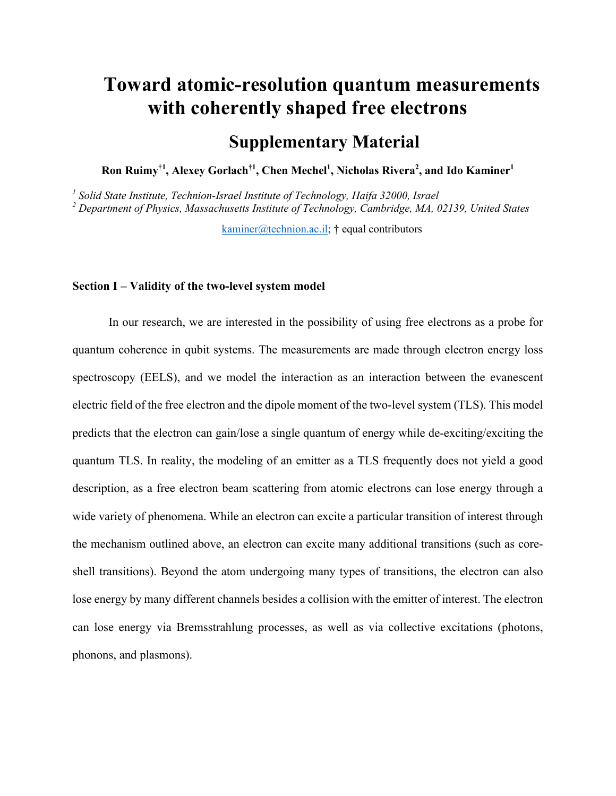# **Toward atomic-resolution quantum measurements with coherently shaped free electrons**

## **Supplementary Material**

**Ron Ruimy†1, Alexey Gorlach†1, Chen Mechel1 , Nicholas Rivera<sup>2</sup> , and Ido Kaminer1**

*<sup>1</sup> Solid State Institute, Technion-Israel Institute of Technology, Haifa 32000, Israel <sup>2</sup> Department of Physics, Massachusetts Institute of Technology, Cambridge, MA, 02139, United States* 

kaminer@technion.ac.il;  $\dagger$  equal contributors

#### **Section I – Validity of the two-level system model**

In our research, we are interested in the possibility of using free electrons as a probe for quantum coherence in qubit systems. The measurements are made through electron energy loss spectroscopy (EELS), and we model the interaction as an interaction between the evanescent electric field of the free electron and the dipole moment of the two-level system (TLS). This model predicts that the electron can gain/lose a single quantum of energy while de-exciting/exciting the quantum TLS. In reality, the modeling of an emitter as a TLS frequently does not yield a good description, as a free electron beam scattering from atomic electrons can lose energy through a wide variety of phenomena. While an electron can excite a particular transition of interest through the mechanism outlined above, an electron can excite many additional transitions (such as coreshell transitions). Beyond the atom undergoing many types of transitions, the electron can also lose energy by many different channels besides a collision with the emitter of interest. The electron can lose energy via Bremsstrahlung processes, as well as via collective excitations (photons, phonons, and plasmons).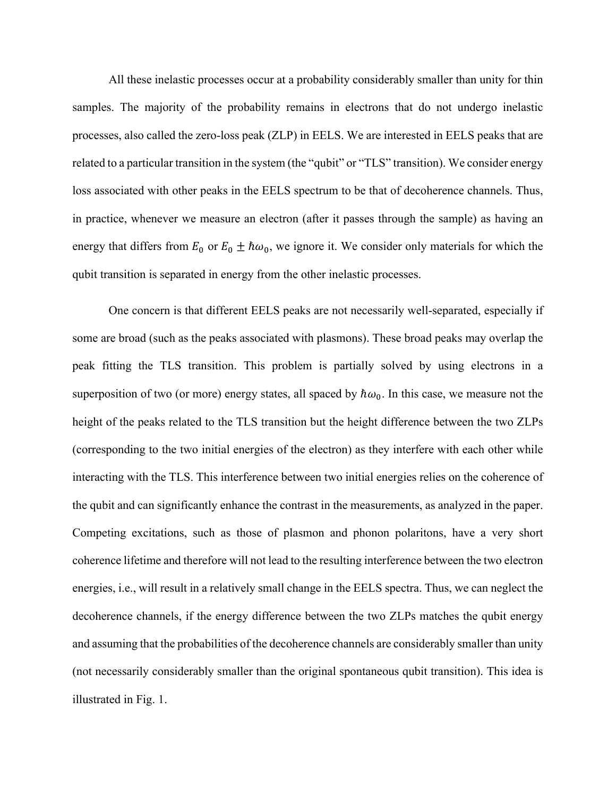All these inelastic processes occur at a probability considerably smaller than unity for thin samples. The majority of the probability remains in electrons that do not undergo inelastic processes, also called the zero-loss peak (ZLP) in EELS. We are interested in EELS peaks that are related to a particular transition in the system (the "qubit" or "TLS" transition). We consider energy loss associated with other peaks in the EELS spectrum to be that of decoherence channels. Thus, in practice, whenever we measure an electron (after it passes through the sample) as having an energy that differs from  $E_0$  or  $E_0 \pm \hbar \omega_0$ , we ignore it. We consider only materials for which the qubit transition is separated in energy from the other inelastic processes.

One concern is that different EELS peaks are not necessarily well-separated, especially if some are broad (such as the peaks associated with plasmons). These broad peaks may overlap the peak fitting the TLS transition. This problem is partially solved by using electrons in a superposition of two (or more) energy states, all spaced by  $\hbar\omega_0$ . In this case, we measure not the height of the peaks related to the TLS transition but the height difference between the two ZLPs (corresponding to the two initial energies of the electron) as they interfere with each other while interacting with the TLS. This interference between two initial energies relies on the coherence of the qubit and can significantly enhance the contrast in the measurements, as analyzed in the paper. Competing excitations, such as those of plasmon and phonon polaritons, have a very short coherence lifetime and therefore will not lead to the resulting interference between the two electron energies, i.e., will result in a relatively small change in the EELS spectra. Thus, we can neglect the decoherence channels, if the energy difference between the two ZLPs matches the qubit energy and assuming that the probabilities of the decoherence channels are considerably smaller than unity (not necessarily considerably smaller than the original spontaneous qubit transition). This idea is illustrated in Fig. 1.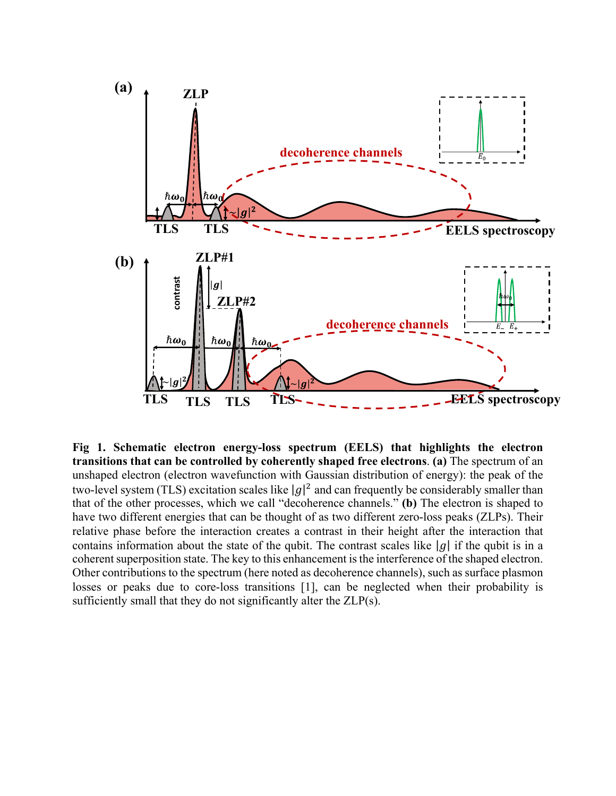

**Fig 1. Schematic electron energy-loss spectrum (EELS) that highlights the electron transitions that can be controlled by coherently shaped free electrons**. **(a)** The spectrum of an unshaped electron (electron wavefunction with Gaussian distribution of energy): the peak of the two-level system (TLS) excitation scales like  $|g|^2$  and can frequently be considerably smaller than that of the other processes, which we call "decoherence channels." **(b)** The electron is shaped to have two different energies that can be thought of as two different zero-loss peaks (ZLPs). Their relative phase before the interaction creates a contrast in their height after the interaction that contains information about the state of the qubit. The contrast scales like  $|g|$  if the qubit is in a coherent superposition state. The key to this enhancement is the interference of the shaped electron. Other contributions to the spectrum (here noted as decoherence channels), such as surface plasmon losses or peaks due to core-loss transitions [1], can be neglected when their probability is sufficiently small that they do not significantly alter the ZLP(s).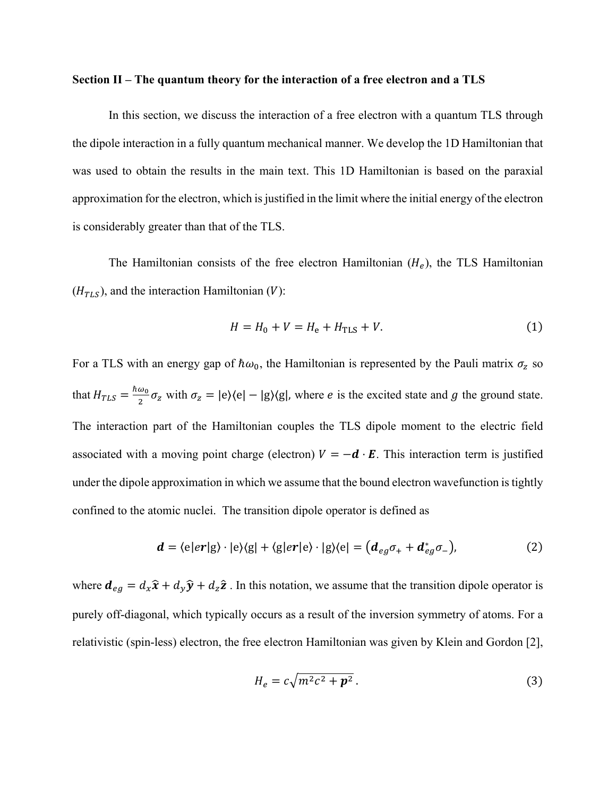#### **Section II – The quantum theory for the interaction of a free electron and a TLS**

In this section, we discuss the interaction of a free electron with a quantum TLS through the dipole interaction in a fully quantum mechanical manner. We develop the 1D Hamiltonian that was used to obtain the results in the main text. This 1D Hamiltonian is based on the paraxial approximation for the electron, which is justified in the limit where the initial energy of the electron is considerably greater than that of the TLS.

The Hamiltonian consists of the free electron Hamiltonian  $(H_e)$ , the TLS Hamiltonian  $(H_{TLS})$ , and the interaction Hamiltonian (V):

$$
H = H_0 + V = H_e + H_{TLS} + V.
$$
 (1)

For a TLS with an energy gap of  $\hbar \omega_0$ , the Hamiltonian is represented by the Pauli matrix  $\sigma_z$  so that  $H_{TLS} = \frac{\hbar \omega_0}{2} \sigma_z$  with  $\sigma_z = |e\rangle\langle e| - |g\rangle\langle g|$ , where *e* is the excited state and *g* the ground state. The interaction part of the Hamiltonian couples the TLS dipole moment to the electric field associated with a moving point charge (electron)  $V = -d \cdot E$ . This interaction term is justified under the dipole approximation in which we assume that the bound electron wavefunction is tightly confined to the atomic nuclei. The transition dipole operator is defined as

$$
\mathbf{d} = \langle e|er|g\rangle \cdot |e\rangle\langle g| + \langle g|er|e\rangle \cdot |g\rangle\langle e| = \left(\mathbf{d}_{eg}\sigma_{+} + \mathbf{d}_{eg}^{*}\sigma_{-}\right),\tag{2}
$$

where  $d_{eg} = d_x \hat{x} + d_y \hat{y} + d_z \hat{z}$ . In this notation, we assume that the transition dipole operator is purely off-diagonal, which typically occurs as a result of the inversion symmetry of atoms. For a relativistic (spin-less) electron, the free electron Hamiltonian was given by Klein and Gordon [2],

$$
H_e = c\sqrt{m^2c^2 + \mathbf{p}^2} \,. \tag{3}
$$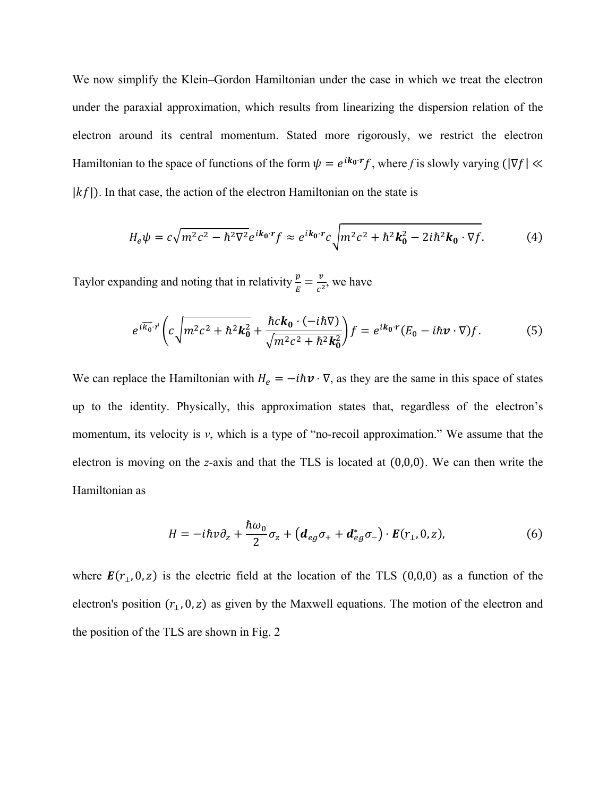We now simplify the Klein–Gordon Hamiltonian under the case in which we treat the electron under the paraxial approximation, which results from linearizing the dispersion relation of the electron around its central momentum. Stated more rigorously, we restrict the electron Hamiltonian to the space of functions of the form  $\psi = e^{ik_0 \cdot r} f$ , where f is slowly varying ( $|\nabla f| \ll$  $|kf|$ ). In that case, the action of the electron Hamiltonian on the state is

$$
H_e \psi = c \sqrt{m^2 c^2 - \hbar^2 \nabla^2} e^{ik_0 \cdot r} f \approx e^{ik_0 \cdot r} c \sqrt{m^2 c^2 + \hbar^2 k_0^2 - 2i \hbar^2 k_0 \cdot \nabla f}.
$$
 (4)

Taylor expanding and noting that in relativity  $\frac{p}{E} = \frac{v}{c^2}$ , we have

$$
e^{i\overrightarrow{k_0}\cdot\overrightarrow{r}}\left(c\sqrt{m^2c^2+\hbar^2k_0^2}+\frac{\hbar ck_0\cdot(-i\hbar\nabla)}{\sqrt{m^2c^2+\hbar^2k_0^2}}\right)f=e^{ik_0\cdot r}(E_0-i\hbar\nu\cdot\nabla)f.\tag{5}
$$

We can replace the Hamiltonian with  $H_e = -i\hbar v \cdot \nabla$ , as they are the same in this space of states up to the identity. Physically, this approximation states that, regardless of the electron's momentum, its velocity is *v*, which is a type of "no-recoil approximation." We assume that the electron is moving on the *z*-axis and that the TLS is located at (0,0,0). We can then write the Hamiltonian as

$$
H = -i\hbar v \partial_z + \frac{\hbar \omega_0}{2} \sigma_z + \left( \mathbf{d}_{eg} \sigma_+ + \mathbf{d}_{eg}^* \sigma_- \right) \cdot \mathbf{E}(r_\perp, 0, z), \tag{6}
$$

where  $\mathbf{E}(r_1, 0, z)$  is the electric field at the location of the TLS (0,0,0) as a function of the electron's position  $(r_1, 0, z)$  as given by the Maxwell equations. The motion of the electron and the position of the TLS are shown in Fig. 2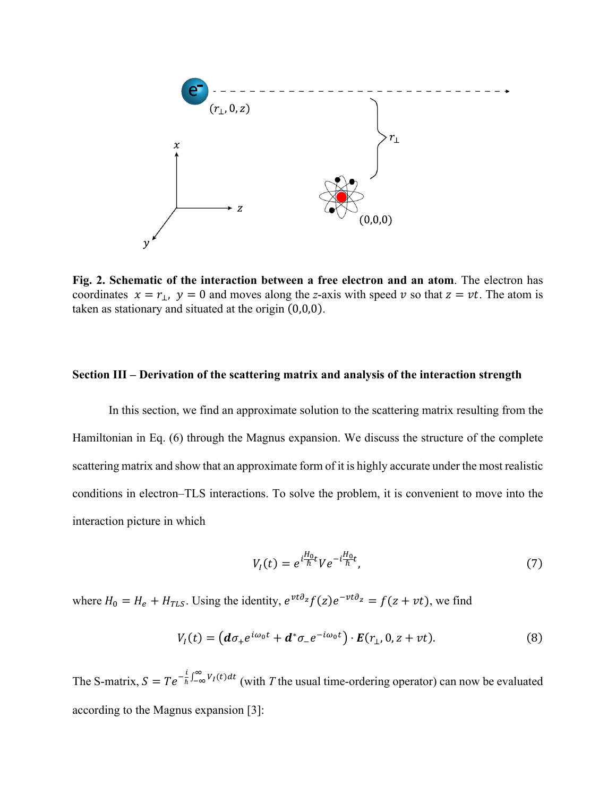

**Fig. 2. Schematic of the interaction between a free electron and an atom**. The electron has coordinates  $x = r_{\perp}$ ,  $y = 0$  and moves along the *z*-axis with speed v so that  $z = vt$ . The atom is taken as stationary and situated at the origin (0,0,0).

#### **Section III – Derivation of the scattering matrix and analysis of the interaction strength**

In this section, we find an approximate solution to the scattering matrix resulting from the Hamiltonian in Eq. (6) through the Magnus expansion. We discuss the structure of the complete scattering matrix and show that an approximate form of it is highly accurate under the most realistic conditions in electron–TLS interactions. To solve the problem, it is convenient to move into the interaction picture in which

$$
V_I(t) = e^{i\frac{H_0}{\hbar}t}Ve^{-i\frac{H_0}{\hbar}t},\tag{7}
$$

where  $H_0 = H_e + H_{TLS}$ . Using the identity,  $e^{vt\partial_z} f(z)e^{-vt\partial_z} = f(z + vt)$ , we find

$$
V_I(t) = \left(d\sigma_+e^{i\omega_0 t} + d^*\sigma_-e^{-i\omega_0 t}\right) \cdot E(r_\perp, 0, z + vt). \tag{8}
$$

The S-matrix,  $S = Te^{-\frac{i}{\hbar}\int_{-\infty}^{\infty}V_I(t)dt}$  (with *T* the usual time-ordering operator) can now be evaluated according to the Magnus expansion [3]: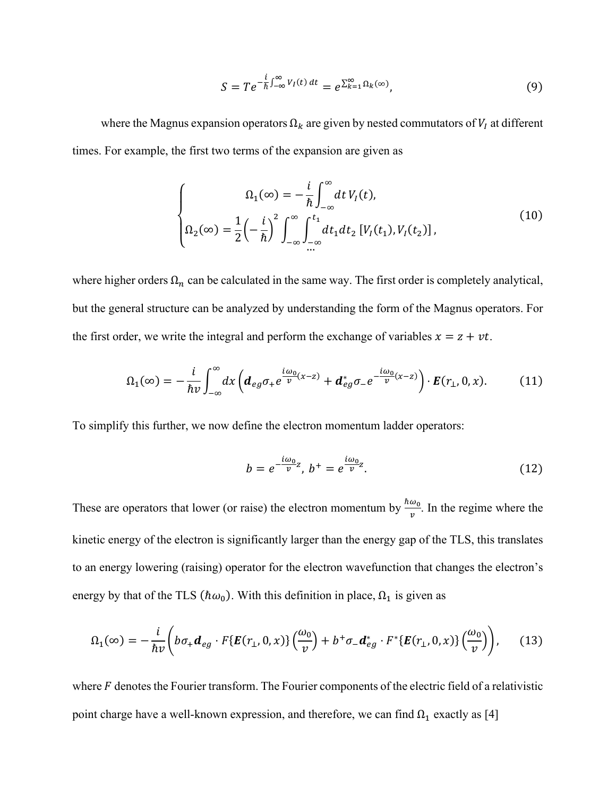$$
S = Te^{-\frac{i}{\hbar}\int_{-\infty}^{\infty}V_I(t) dt} = e^{\sum_{k=1}^{\infty} \Omega_k(\infty)},
$$
\n(9)

where the Magnus expansion operators  $\Omega_k$  are given by nested commutators of  $V_I$  at different times. For example, the first two terms of the expansion are given as

$$
\begin{cases}\n\Omega_1(\infty) = -\frac{i}{\hbar} \int_{-\infty}^{\infty} dt V_I(t), \\
\Omega_2(\infty) = \frac{1}{2} \left(-\frac{i}{\hbar}\right)^2 \int_{-\infty}^{\infty} \int_{-\infty}^{t_1} dt_1 dt_2 \left[V_I(t_1), V_I(t_2)\right],\n\end{cases} \tag{10}
$$

where higher orders  $\Omega_n$  can be calculated in the same way. The first order is completely analytical, but the general structure can be analyzed by understanding the form of the Magnus operators. For the first order, we write the integral and perform the exchange of variables  $x = z + vt$ .

$$
\Omega_1(\infty) = -\frac{i}{\hbar v} \int_{-\infty}^{\infty} dx \left( d_{eg} \sigma_+ e^{\frac{i\omega_0}{v}(x-z)} + d_{eg}^* \sigma_- e^{-\frac{i\omega_0}{v}(x-z)} \right) \cdot E(r_\perp, 0, x). \tag{11}
$$

To simplify this further, we now define the electron momentum ladder operators:

$$
b = e^{-\frac{i\omega_0}{v}z}, \ b^+ = e^{\frac{i\omega_0}{v}z}.
$$
 (12)

These are operators that lower (or raise) the electron momentum by  $\frac{\hbar \omega_0}{v}$ . In the regime where the kinetic energy of the electron is significantly larger than the energy gap of the TLS, this translates to an energy lowering (raising) operator for the electron wavefunction that changes the electron's energy by that of the TLS ( $\hbar \omega_0$ ). With this definition in place,  $\Omega_1$  is given as

$$
\Omega_1(\infty) = -\frac{i}{\hbar v} \left( b\sigma_+ \boldsymbol{d}_{eg} \cdot F\{ \boldsymbol{E}(r_\perp, 0, x) \} \left( \frac{\omega_0}{v} \right) + b^+ \sigma_- \boldsymbol{d}_{eg}^* \cdot F^*\{ \boldsymbol{E}(r_\perp, 0, x) \} \left( \frac{\omega_0}{v} \right) \right), \tag{13}
$$

where  $F$  denotes the Fourier transform. The Fourier components of the electric field of a relativistic point charge have a well-known expression, and therefore, we can find  $\Omega_1$  exactly as [4]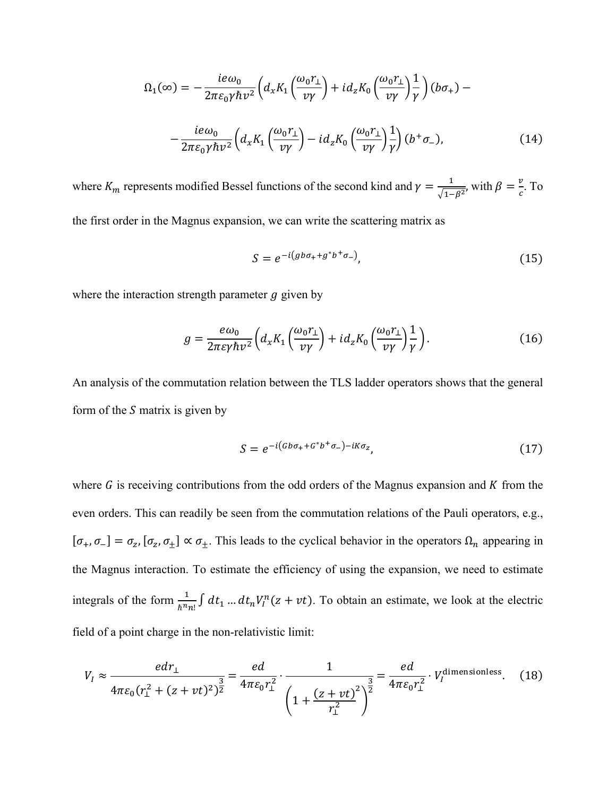$$
\Omega_1(\infty) = -\frac{ie\omega_0}{2\pi\varepsilon_0\gamma\hbar v^2} \left( d_x K_1 \left( \frac{\omega_0 r_1}{v\gamma} \right) + i d_z K_0 \left( \frac{\omega_0 r_1}{v\gamma} \right) \frac{1}{\gamma} \right) (b\sigma_+) -
$$

$$
-\frac{ie\omega_0}{2\pi\varepsilon_0\gamma\hbar v^2} \left( d_x K_1 \left( \frac{\omega_0 r_1}{v\gamma} \right) - i d_z K_0 \left( \frac{\omega_0 r_1}{v\gamma} \right) \frac{1}{\gamma} \right) (b^+ \sigma_-), \tag{14}
$$

where  $K_m$  represents modified Bessel functions of the second kind and  $\gamma = \frac{1}{\sqrt{1-\beta^2}}$ , with  $\beta = \frac{v}{c}$ . To

the first order in the Magnus expansion, we can write the scattering matrix as

$$
S = e^{-i(gb\sigma_+ + g^*b^+\sigma_-)},\tag{15}
$$

where the interaction strength parameter  $q$  given by

$$
g = \frac{e\omega_0}{2\pi\varepsilon\gamma\hbar v^2} \Big( d_x K_1 \left( \frac{\omega_0 r_1}{\nu \gamma} \right) + i d_z K_0 \left( \frac{\omega_0 r_1}{\nu \gamma} \right) \frac{1}{\gamma} \Big). \tag{16}
$$

An analysis of the commutation relation between the TLS ladder operators shows that the general form of the  $S$  matrix is given by

$$
S = e^{-i(\sigma b \sigma_+ + \sigma^* b^+ \sigma_-) - iK \sigma_z},\tag{17}
$$

where  $G$  is receiving contributions from the odd orders of the Magnus expansion and  $K$  from the even orders. This can readily be seen from the commutation relations of the Pauli operators, e.g.,  $[\sigma_+, \sigma_-] = \sigma_z$ ,  $[\sigma_z, \sigma_{\pm}] \propto \sigma_{\pm}$ . This leads to the cyclical behavior in the operators  $\Omega_n$  appearing in the Magnus interaction. To estimate the efficiency of using the expansion, we need to estimate integrals of the form  $\frac{1}{\hbar^n n!} \int dt_1 ... dt_n V_l^n(z + vt)$ . To obtain an estimate, we look at the electric field of a point charge in the non-relativistic limit:

$$
V_I \approx \frac{edr_1}{4\pi\varepsilon_0 (r_\perp^2 + (z + vt)^2)^{\frac{3}{2}}} = \frac{ed}{4\pi\varepsilon_0 r_\perp^2} \cdot \frac{1}{\left(1 + \frac{(z + vt)^2}{r_\perp^2}\right)^{\frac{3}{2}}} = \frac{ed}{4\pi\varepsilon_0 r_\perp^2} \cdot V_I^{\text{dimensionless}}.
$$
 (18)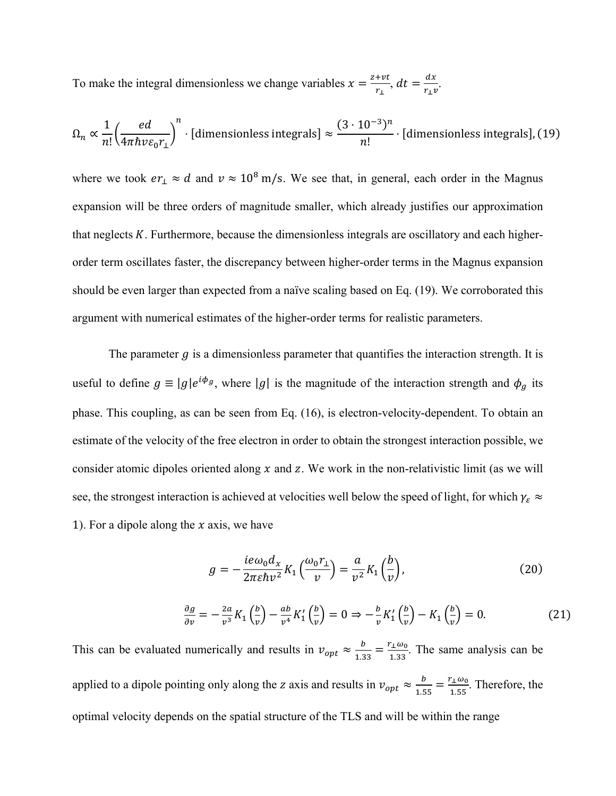To make the integral dimensionless we change variables  $x = \frac{z + vt}{r_{\perp}}$ ,  $dt = \frac{dx}{r_{\perp}v}$ .

$$
\Omega_n \propto \frac{1}{n!} \left(\frac{ed}{4\pi\hbar v \varepsilon_0 r_\perp}\right)^n \cdot \text{[dimensionless integrals]} \approx \frac{(3 \cdot 10^{-3})^n}{n!} \cdot \text{[dimensionless integrals], (19)}
$$

where we took  $er_{\perp} \approx d$  and  $v \approx 10^8$  m/s. We see that, in general, each order in the Magnus expansion will be three orders of magnitude smaller, which already justifies our approximation that neglects  $K$ . Furthermore, because the dimensionless integrals are oscillatory and each higherorder term oscillates faster, the discrepancy between higher-order terms in the Magnus expansion should be even larger than expected from a naïve scaling based on Eq. (19). We corroborated this argument with numerical estimates of the higher-order terms for realistic parameters.

The parameter  $g$  is a dimensionless parameter that quantifies the interaction strength. It is useful to define  $g \equiv |g|e^{i\phi_g}$ , where |g| is the magnitude of the interaction strength and  $\phi_g$  its phase. This coupling, as can be seen from Eq. (16), is electron-velocity-dependent. To obtain an estimate of the velocity of the free electron in order to obtain the strongest interaction possible, we consider atomic dipoles oriented along  $x$  and  $z$ . We work in the non-relativistic limit (as we will see, the strongest interaction is achieved at velocities well below the speed of light, for which  $\gamma_{\epsilon} \approx$ 1). For a dipole along the  $x$  axis, we have

$$
g = -\frac{ie\omega_0 d_x}{2\pi\varepsilon\hbar v^2} K_1 \left(\frac{\omega_0 r_1}{v}\right) = \frac{a}{v^2} K_1 \left(\frac{b}{v}\right),\tag{20}
$$

$$
\frac{\partial g}{\partial v} = -\frac{2a}{v^3} K_1 \left(\frac{b}{v}\right) - \frac{ab}{v^4} K_1' \left(\frac{b}{v}\right) = 0 \Rightarrow -\frac{b}{v} K_1' \left(\frac{b}{v}\right) - K_1 \left(\frac{b}{v}\right) = 0. \tag{21}
$$

This can be evaluated numerically and results in  $v_{opt} \approx \frac{b}{1.33} = \frac{r_{\perp}\omega_0}{1.33}$ . The same analysis can be applied to a dipole pointing only along the z axis and results in  $v_{opt} \approx \frac{b}{1.55} = \frac{r_1 \omega_0}{1.55}$ . Therefore, the optimal velocity depends on the spatial structure of the TLS and will be within the range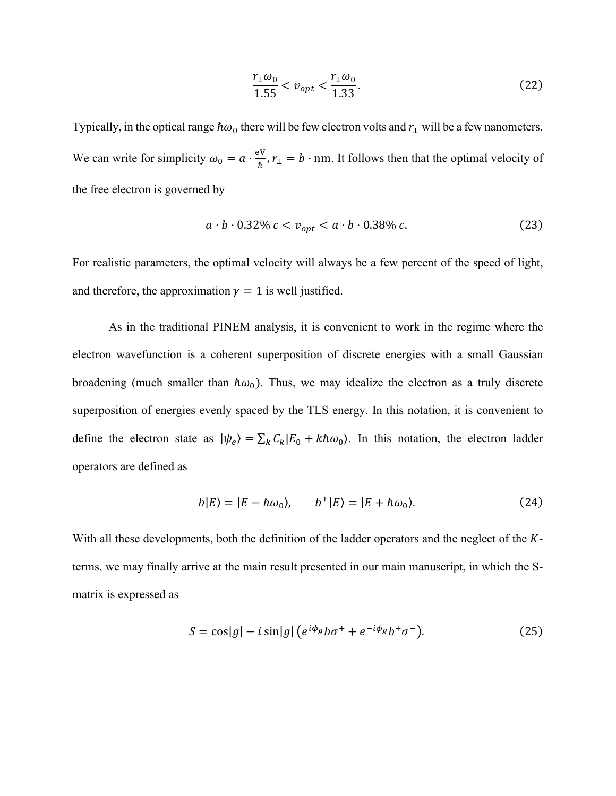$$
\frac{r_{\perp}\omega_0}{1.55} < v_{opt} < \frac{r_{\perp}\omega_0}{1.33}.\tag{22}
$$

Typically, in the optical range  $\hbar \omega_0$  there will be few electron volts and  $r_{\perp}$  will be a few nanometers. We can write for simplicity  $\omega_0 = a \cdot \frac{eV}{\hbar}$ ,  $r_{\perp} = b \cdot nm$ . It follows then that the optimal velocity of the free electron is governed by

$$
a \cdot b \cdot 0.32\% c < v_{opt} < a \cdot b \cdot 0.38\% c. \tag{23}
$$

For realistic parameters, the optimal velocity will always be a few percent of the speed of light, and therefore, the approximation  $\gamma = 1$  is well justified.

As in the traditional PINEM analysis, it is convenient to work in the regime where the electron wavefunction is a coherent superposition of discrete energies with a small Gaussian broadening (much smaller than  $\hbar \omega_0$ ). Thus, we may idealize the electron as a truly discrete superposition of energies evenly spaced by the TLS energy. In this notation, it is convenient to define the electron state as  $|\psi_e\rangle = \sum_k C_k |E_0 + k\hbar\omega_0\rangle$ . In this notation, the electron ladder operators are defined as

$$
b|E\rangle = |E - \hbar \omega_0\rangle, \qquad b^+|E\rangle = |E + \hbar \omega_0\rangle. \tag{24}
$$

With all these developments, both the definition of the ladder operators and the neglect of the  $K$ terms, we may finally arrive at the main result presented in our main manuscript, in which the Smatrix is expressed as

$$
S = \cos|g| - i\sin|g| \left( e^{i\phi_g} b \sigma^+ + e^{-i\phi_g} b^+ \sigma^- \right). \tag{25}
$$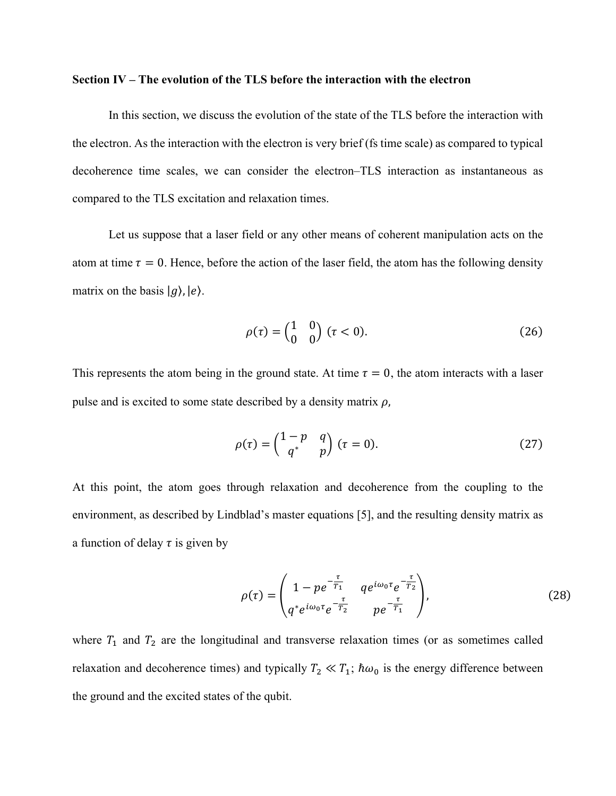#### **Section IV – The evolution of the TLS before the interaction with the electron**

In this section, we discuss the evolution of the state of the TLS before the interaction with the electron. As the interaction with the electron is very brief (fs time scale) as compared to typical decoherence time scales, we can consider the electron–TLS interaction as instantaneous as compared to the TLS excitation and relaxation times.

Let us suppose that a laser field or any other means of coherent manipulation acts on the atom at time  $\tau = 0$ . Hence, before the action of the laser field, the atom has the following density matrix on the basis  $|g\rangle$ ,  $|e\rangle$ .

$$
\rho(\tau) = \begin{pmatrix} 1 & 0 \\ 0 & 0 \end{pmatrix} (\tau < 0). \tag{26}
$$

This represents the atom being in the ground state. At time  $\tau = 0$ , the atom interacts with a laser pulse and is excited to some state described by a density matrix  $\rho$ ,

$$
\rho(\tau) = \begin{pmatrix} 1-p & q \\ q^* & p \end{pmatrix} (\tau = 0). \tag{27}
$$

At this point, the atom goes through relaxation and decoherence from the coupling to the environment, as described by Lindblad's master equations [5], and the resulting density matrix as a function of delay  $\tau$  is given by

$$
\rho(\tau) = \begin{pmatrix} 1 - pe^{-\frac{\tau}{T_1}} & q e^{i\omega_0 \tau} e^{-\frac{\tau}{T_2}} \\ q^* e^{i\omega_0 \tau} e^{-\frac{\tau}{T_2}} & p e^{-\frac{\tau}{T_1}} \end{pmatrix},
$$
\n(28)

where  $T_1$  and  $T_2$  are the longitudinal and transverse relaxation times (or as sometimes called relaxation and decoherence times) and typically  $T_2 \ll T_1$ ;  $\hbar \omega_0$  is the energy difference between the ground and the excited states of the qubit.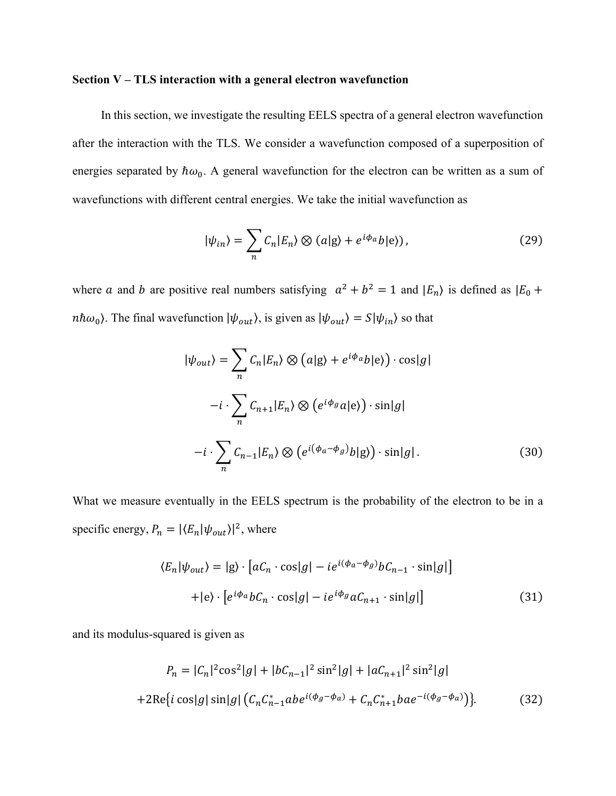#### **Section V – TLS interaction with a general electron wavefunction**

In this section, we investigate the resulting EELS spectra of a general electron wavefunction after the interaction with the TLS. We consider a wavefunction composed of a superposition of energies separated by  $\hbar \omega_0$ . A general wavefunction for the electron can be written as a sum of wavefunctions with different central energies. We take the initial wavefunction as

$$
|\psi_{in}\rangle = \sum_{n} C_n |E_n\rangle \otimes (a|g\rangle + e^{i\phi_a}b|e\rangle), \qquad (29)
$$

where a and b are positive real numbers satisfying  $a^2 + b^2 = 1$  and  $|E_n\rangle$  is defined as  $|E_0 +$ *nh* $\omega_0$ ). The final wavefunction  $|\psi_{out}\rangle$ , is given as  $|\psi_{out}\rangle = S|\psi_{in}\rangle$  so that

$$
|\psi_{out}\rangle = \sum_{n} C_{n} |E_{n}\rangle \otimes (a|g\rangle + e^{i\phi_{a}}b|e\rangle) \cdot \cos|g|
$$
  

$$
-i \cdot \sum_{n} C_{n+1} |E_{n}\rangle \otimes (e^{i\phi_{g}}a|e\rangle) \cdot \sin|g|
$$
  

$$
-i \cdot \sum_{n} C_{n-1} |E_{n}\rangle \otimes (e^{i(\phi_{a}-\phi_{g})}b|g\rangle) \cdot \sin|g|.
$$
 (30)

What we measure eventually in the EELS spectrum is the probability of the electron to be in a specific energy,  $P_n = |\langle E_n | \psi_{out} \rangle|^2$ , where

$$
\langle E_n | \psi_{out} \rangle = |g \rangle \cdot [aC_n \cdot \cos|g| - ie^{i(\phi_a - \phi_g)} bC_{n-1} \cdot \sin|g|]
$$
  
+|e\rangle \cdot [e^{i\phi\_a} bC\_n \cdot \cos|g| - ie^{i\phi\_g} aC\_{n+1} \cdot \sin|g|] (31)

and its modulus-squared is given as

$$
P_n = |C_n|^2 \cos^2|g| + |bC_{n-1}|^2 \sin^2|g| + |aC_{n+1}|^2 \sin^2|g|
$$
  
+2Re{i cos|g| sin|g| (C\_nC\_{n-1}^\*ab e^{i(\phi\_g - \phi\_a)} + C\_nC\_{n+1}^\*ba e^{-i(\phi\_g - \phi\_a)})}. (32)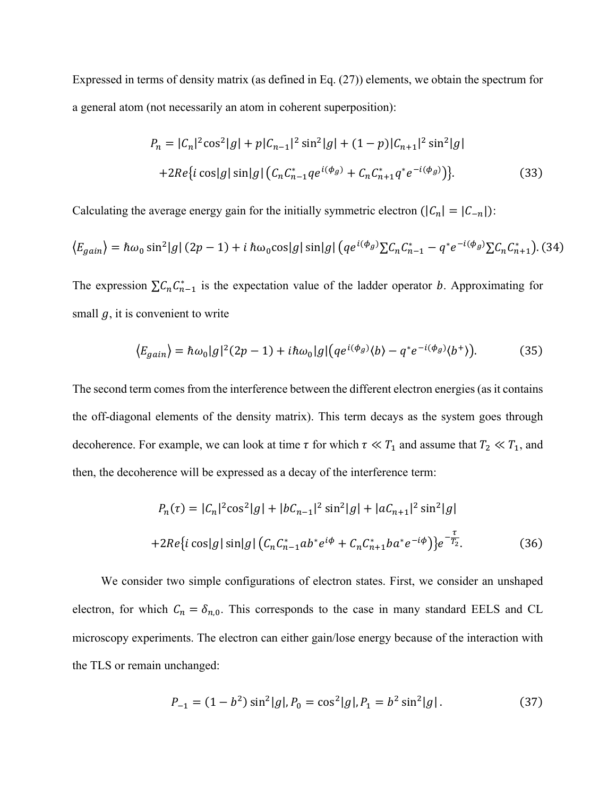Expressed in terms of density matrix (as defined in Eq. (27)) elements, we obtain the spectrum for a general atom (not necessarily an atom in coherent superposition):

$$
P_n = |C_n|^2 \cos^2|g| + p|C_{n-1}|^2 \sin^2|g| + (1-p)|C_{n+1}|^2 \sin^2|g|
$$
  
+2Re{i cos|g| sin|g| (C\_n C\_{n-1}^\* q e^{i(\phi g)} + C\_n C\_{n+1}^\* q^\* e^{-i(\phi g)})}. (33)

Calculating the average energy gain for the initially symmetric electron  $(|C_n| = |C_{-n}|)$ :

$$
\langle E_{gain} \rangle = \hbar \omega_0 \sin^2|g| (2p - 1) + i \hbar \omega_0 \cos|g| \sin|g| \left( q e^{i(\phi_g)} \sum C_n C_{n-1}^* - q^* e^{-i(\phi_g)} \sum C_n C_{n+1}^* \right). (34)
$$

The expression  $\sum C_n C_{n-1}^*$  is the expectation value of the ladder operator *b*. Approximating for small  $q$ , it is convenient to write

$$
\langle E_{gain} \rangle = \hbar \omega_0 |g|^2 (2p - 1) + i \hbar \omega_0 |g| \left( q e^{i(\phi_g)} \langle b \rangle - q^* e^{-i(\phi_g)} \langle b^+ \rangle \right). \tag{35}
$$

The second term comes from the interference between the different electron energies (as it contains the off-diagonal elements of the density matrix). This term decays as the system goes through decoherence. For example, we can look at time  $\tau$  for which  $\tau \ll T_1$  and assume that  $T_2 \ll T_1$ , and then, the decoherence will be expressed as a decay of the interference term:

$$
P_n(\tau) = |C_n|^2 \cos^2|g| + |bC_{n-1}|^2 \sin^2|g| + |aC_{n+1}|^2 \sin^2|g|
$$
  
+2Re{i cos|g| sin|g| (C\_nC\_{n-1}^\*ab^\*e^{i\phi} + C\_nC\_{n+1}^\*ba^\*e^{-i\phi})}e^{-\frac{\tau}{T\_2}}. (36)

We consider two simple configurations of electron states. First, we consider an unshaped electron, for which  $C_n = \delta_{n,0}$ . This corresponds to the case in many standard EELS and CL microscopy experiments. The electron can either gain/lose energy because of the interaction with the TLS or remain unchanged:

$$
P_{-1} = (1 - b^2) \sin^2 |g|, P_0 = \cos^2 |g|, P_1 = b^2 \sin^2 |g|.
$$
 (37)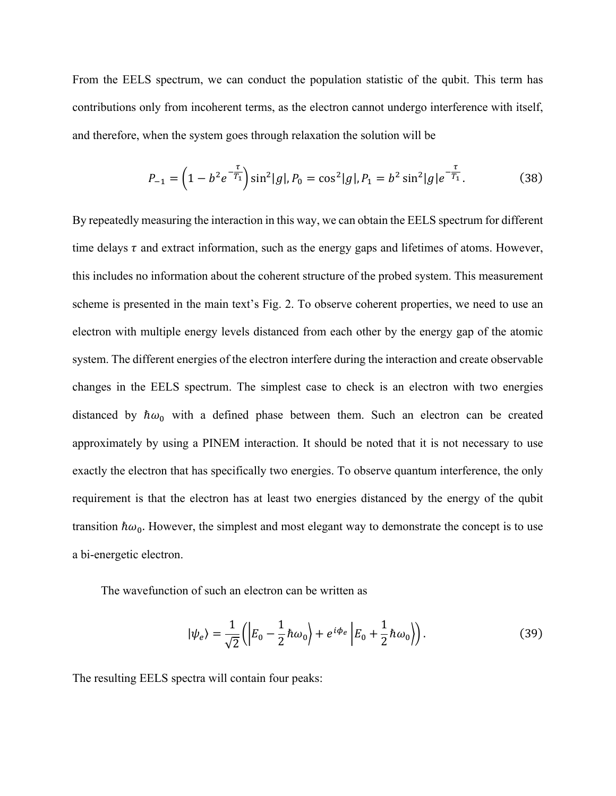From the EELS spectrum, we can conduct the population statistic of the qubit. This term has contributions only from incoherent terms, as the electron cannot undergo interference with itself, and therefore, when the system goes through relaxation the solution will be

$$
P_{-1} = \left(1 - b^2 e^{-\frac{\tau}{T_1}}\right) \sin^2|g|, P_0 = \cos^2|g|, P_1 = b^2 \sin^2|g|e^{-\frac{\tau}{T_1}}.
$$
 (38)

By repeatedly measuring the interaction in this way, we can obtain the EELS spectrum for different time delays  $\tau$  and extract information, such as the energy gaps and lifetimes of atoms. However, this includes no information about the coherent structure of the probed system. This measurement scheme is presented in the main text's Fig. 2. To observe coherent properties, we need to use an electron with multiple energy levels distanced from each other by the energy gap of the atomic system. The different energies of the electron interfere during the interaction and create observable changes in the EELS spectrum. The simplest case to check is an electron with two energies distanced by  $\hbar \omega_0$  with a defined phase between them. Such an electron can be created approximately by using a PINEM interaction. It should be noted that it is not necessary to use exactly the electron that has specifically two energies. To observe quantum interference, the only requirement is that the electron has at least two energies distanced by the energy of the qubit transition  $\hbar \omega_0$ . However, the simplest and most elegant way to demonstrate the concept is to use a bi-energetic electron.

The wavefunction of such an electron can be written as

$$
|\psi_e\rangle = \frac{1}{\sqrt{2}} \left( \left| E_0 - \frac{1}{2} \hbar \omega_0 \right| + e^{i\phi_e} \left| E_0 + \frac{1}{2} \hbar \omega_0 \right| \right). \tag{39}
$$

The resulting EELS spectra will contain four peaks: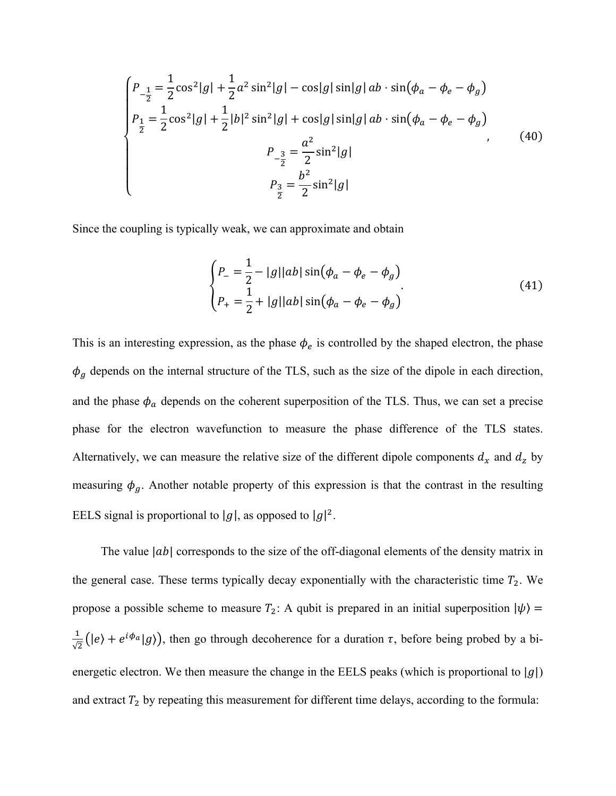$$
\begin{cases}\nP_{-\frac{1}{2}} = \frac{1}{2}\cos^2|g| + \frac{1}{2}a^2\sin^2|g| - \cos|g|\sin|g| \, ab \cdot \sin(\phi_a - \phi_e - \phi_g) \\
P_{\frac{1}{2}} = \frac{1}{2}\cos^2|g| + \frac{1}{2}|b|^2\sin^2|g| + \cos|g|\sin|g| \, ab \cdot \sin(\phi_a - \phi_e - \phi_g) \\
P_{-\frac{3}{2}} = \frac{a^2}{2}\sin^2|g| \\
P_{\frac{3}{2}} = \frac{b^2}{2}\sin^2|g|\n\end{cases}
$$
\n(40)

Since the coupling is typically weak, we can approximate and obtain

$$
\begin{cases}\nP_{-} = \frac{1}{2} - |g||ab|\sin(\phi_a - \phi_e - \phi_g) \\
P_{+} = \frac{1}{2} + |g||ab|\sin(\phi_a - \phi_e - \phi_g)\n\end{cases}
$$
\n(41)

This is an interesting expression, as the phase  $\phi_e$  is controlled by the shaped electron, the phase  $\phi_g$  depends on the internal structure of the TLS, such as the size of the dipole in each direction, and the phase  $\phi_a$  depends on the coherent superposition of the TLS. Thus, we can set a precise phase for the electron wavefunction to measure the phase difference of the TLS states. Alternatively, we can measure the relative size of the different dipole components  $d_x$  and  $d_z$  by measuring  $\phi_{g}$ . Another notable property of this expression is that the contrast in the resulting EELS signal is proportional to  $|g|$ , as opposed to  $|g|^2$ .

The value  $|ab|$  corresponds to the size of the off-diagonal elements of the density matrix in the general case. These terms typically decay exponentially with the characteristic time  $T_2$ . We propose a possible scheme to measure  $T_2$ : A qubit is prepared in an initial superposition  $|\psi\rangle$  =  $\frac{1}{\sqrt{2}}(|e\rangle + e^{i\phi_a}|g\rangle)$ , then go through decoherence for a duration  $\tau$ , before being probed by a bienergetic electron. We then measure the change in the EELS peaks (which is proportional to  $|g|$ ) and extract  $T_2$  by repeating this measurement for different time delays, according to the formula: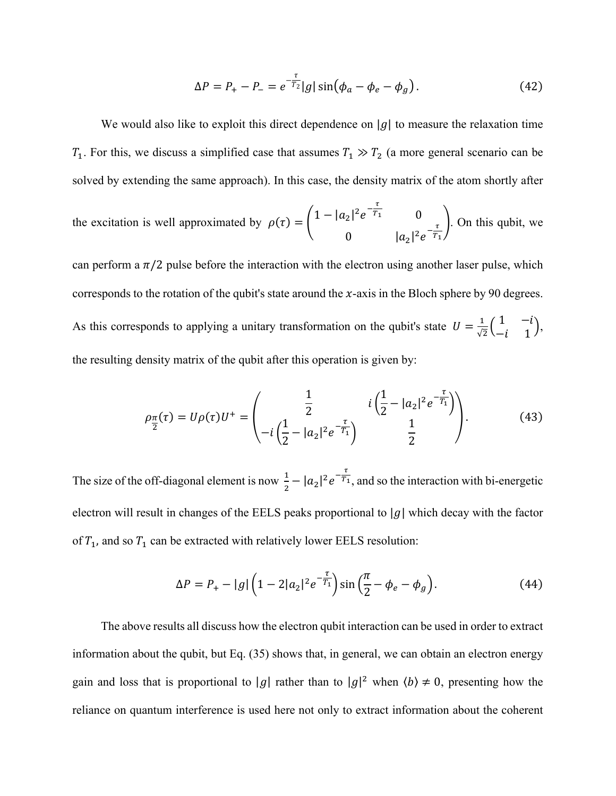$$
\Delta P = P_+ - P_- = e^{-\frac{\tau}{T_2}} |g| \sin(\phi_a - \phi_e - \phi_g). \tag{42}
$$

We would also like to exploit this direct dependence on |q| to measure the relaxation time  $T_1$ . For this, we discuss a simplified case that assumes  $T_1 \gg T_2$  (a more general scenario can be solved by extending the same approach). In this case, the density matrix of the atom shortly after

the excitation is well approximated by 
$$
\rho(\tau) = \begin{pmatrix} 1 - |a_2|^2 e^{-\frac{\tau}{T_1}} & 0 \\ 0 & |a_2|^2 e^{-\frac{\tau}{T_1}} \end{pmatrix}
$$
. On this qubit, we

can perform a  $\pi/2$  pulse before the interaction with the electron using another laser pulse, which corresponds to the rotation of the qubit's state around the  $x$ -axis in the Bloch sphere by 90 degrees. As this corresponds to applying a unitary transformation on the qubit's state  $U = \frac{1}{\sqrt{2}} \begin{pmatrix} 1 & -i \\ -i & 1 \end{pmatrix}$ , the resulting density matrix of the qubit after this operation is given by:

$$
\rho_{\frac{\pi}{2}}(\tau) = U\rho(\tau)U^{+} = \begin{pmatrix} \frac{1}{2} & i\left(\frac{1}{2} - |a_{2}|^{2}e^{-\frac{\tau}{T_{1}}}\right) \\ -i\left(\frac{1}{2} - |a_{2}|^{2}e^{-\frac{\tau}{T_{1}}}\right) & \frac{1}{2} \end{pmatrix}.
$$
(43)

The size of the off-diagonal element is now  $\frac{1}{2} - |a_2|^2 e^{-\frac{\tau}{T_1}}$ , and so the interaction with bi-energetic electron will result in changes of the EELS peaks proportional to  $|g|$  which decay with the factor of  $T_1$ , and so  $T_1$  can be extracted with relatively lower EELS resolution:

$$
\Delta P = P_+ - |g| \left( 1 - 2|a_2|^2 e^{-\frac{\tau}{T_1}} \right) \sin\left(\frac{\pi}{2} - \phi_e - \phi_g\right). \tag{44}
$$

The above results all discuss how the electron qubit interaction can be used in order to extract information about the qubit, but Eq. (35) shows that, in general, we can obtain an electron energy gain and loss that is proportional to |g| rather than to  $|g|^2$  when  $\langle b \rangle \neq 0$ , presenting how the reliance on quantum interference is used here not only to extract information about the coherent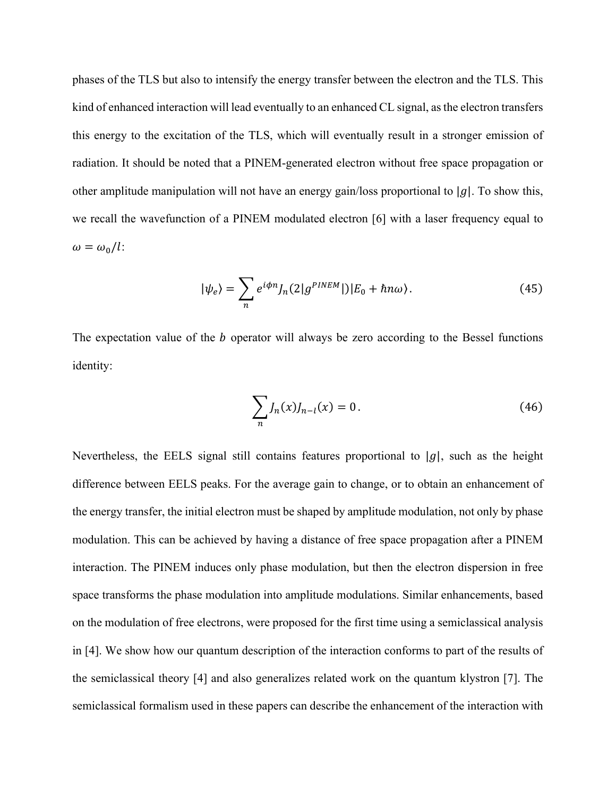phases of the TLS but also to intensify the energy transfer between the electron and the TLS. This kind of enhanced interaction will lead eventually to an enhanced CL signal, as the electron transfers this energy to the excitation of the TLS, which will eventually result in a stronger emission of radiation. It should be noted that a PINEM-generated electron without free space propagation or other amplitude manipulation will not have an energy gain/loss proportional to |g|. To show this, we recall the wavefunction of a PINEM modulated electron [6] with a laser frequency equal to  $\omega = \omega_0/l$ :

$$
|\psi_e\rangle = \sum_n e^{i\phi n} J_n(2|g^{PINEM}|)|E_0 + \hbar n\omega\rangle.
$$
 (45)

The expectation value of the  $b$  operator will always be zero according to the Bessel functions identity:

$$
\sum_{n} J_n(x) J_{n-l}(x) = 0.
$$
\n(46)

Nevertheless, the EELS signal still contains features proportional to  $|g|$ , such as the height difference between EELS peaks. For the average gain to change, or to obtain an enhancement of the energy transfer, the initial electron must be shaped by amplitude modulation, not only by phase modulation. This can be achieved by having a distance of free space propagation after a PINEM interaction. The PINEM induces only phase modulation, but then the electron dispersion in free space transforms the phase modulation into amplitude modulations. Similar enhancements, based on the modulation of free electrons, were proposed for the first time using a semiclassical analysis in [4]. We show how our quantum description of the interaction conforms to part of the results of the semiclassical theory [4] and also generalizes related work on the quantum klystron [7]. The semiclassical formalism used in these papers can describe the enhancement of the interaction with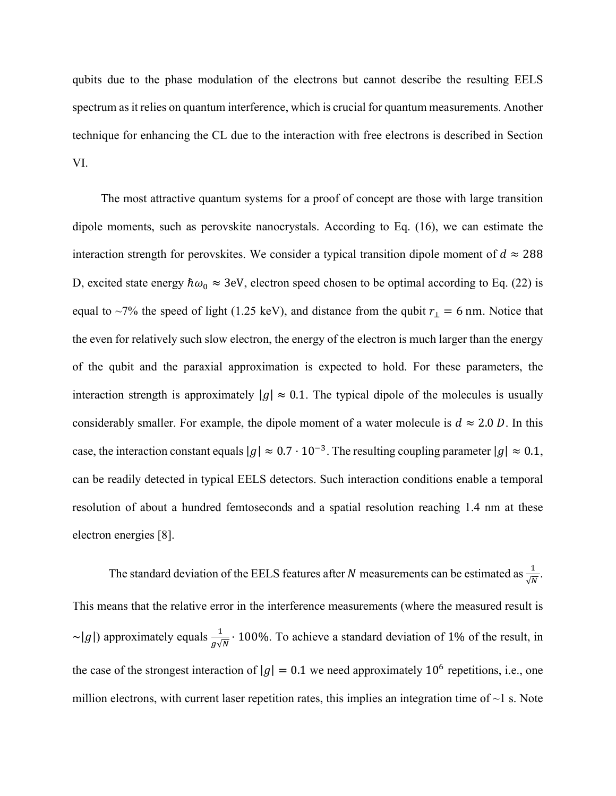qubits due to the phase modulation of the electrons but cannot describe the resulting EELS spectrum as it relies on quantum interference, which is crucial for quantum measurements. Another technique for enhancing the CL due to the interaction with free electrons is described in Section VI.

The most attractive quantum systems for a proof of concept are those with large transition dipole moments, such as perovskite nanocrystals. According to Eq. (16), we can estimate the interaction strength for perovskites. We consider a typical transition dipole moment of  $d \approx 288$ D, excited state energy  $\hbar \omega_0 \approx 3$ eV, electron speed chosen to be optimal according to Eq. (22) is equal to ~7% the speed of light (1.25 keV), and distance from the qubit  $r_1 = 6$  nm. Notice that the even for relatively such slow electron, the energy of the electron is much larger than the energy of the qubit and the paraxial approximation is expected to hold. For these parameters, the interaction strength is approximately  $|g| \approx 0.1$ . The typical dipole of the molecules is usually considerably smaller. For example, the dipole moment of a water molecule is  $d \approx 2.0 D$ . In this case, the interaction constant equals  $|g| \approx 0.7 \cdot 10^{-3}$ . The resulting coupling parameter  $|g| \approx 0.1$ , can be readily detected in typical EELS detectors. Such interaction conditions enable a temporal resolution of about a hundred femtoseconds and a spatial resolution reaching 1.4 nm at these electron energies [8].

The standard deviation of the EELS features after N measurements can be estimated as  $\frac{1}{\sqrt{N}}$ . This means that the relative error in the interference measurements (where the measured result is ~|g|) approximately equals  $\frac{1}{g\sqrt{N}} \cdot 100\%$ . To achieve a standard deviation of 1% of the result, in the case of the strongest interaction of  $|g| = 0.1$  we need approximately 10<sup>6</sup> repetitions, i.e., one million electrons, with current laser repetition rates, this implies an integration time of  $\sim$ 1 s. Note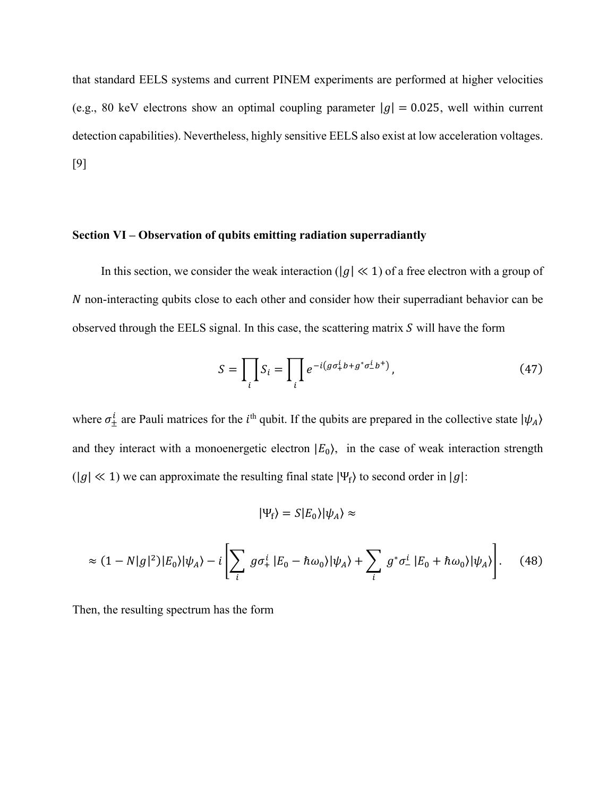that standard EELS systems and current PINEM experiments are performed at higher velocities (e.g., 80 keV electrons show an optimal coupling parameter  $|g| = 0.025$ , well within current detection capabilities). Nevertheless, highly sensitive EELS also exist at low acceleration voltages. [9]

#### **Section VI – Observation of qubits emitting radiation superradiantly**

In this section, we consider the weak interaction ( $|g| \ll 1$ ) of a free electron with a group of N non-interacting qubits close to each other and consider how their superradiant behavior can be observed through the EELS signal. In this case, the scattering matrix  $S$  will have the form

$$
S = \prod_{i} S_i = \prod_{i} e^{-i(g\sigma_+^i b + g^*\sigma_-^i b^+)},
$$
\n(47)

where  $\sigma_{\pm}^{i}$  are Pauli matrices for the *i*<sup>th</sup> qubit. If the qubits are prepared in the collective state  $|\psi_{A}\rangle$ and they interact with a monoenergetic electron  $|E_0\rangle$ , in the case of weak interaction strength  $(|g| \ll 1)$  we can approximate the resulting final state  $|\Psi_f\rangle$  to second order in  $|g|$ :

$$
|\Psi_{\rm f}\rangle=S|E_0\rangle|\psi_A\rangle\approx
$$

$$
\approx (1 - N|g|^2)|E_0\rangle|\psi_A\rangle - i\left[\sum_i g\sigma_+^i |E_0 - \hbar\omega_0\rangle|\psi_A\rangle + \sum_i g^*\sigma_-^i |E_0 + \hbar\omega_0\rangle|\psi_A\rangle\right].
$$
 (48)

Then, the resulting spectrum has the form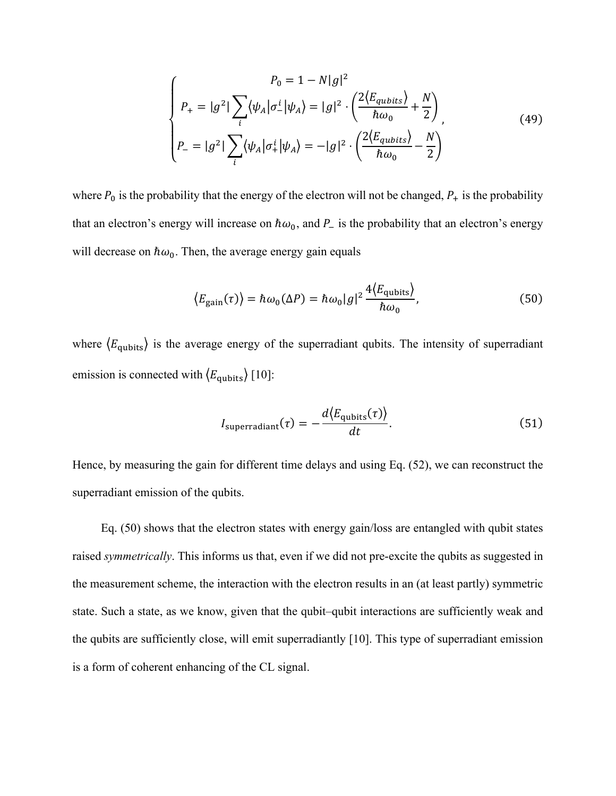$$
\begin{cases}\nP_0 = 1 - N|g|^2 \\
P_+ = |g|^2 \sum_i \langle \psi_A | \sigma_-^i | \psi_A \rangle = |g|^2 \cdot \left( \frac{2 \langle E_{qubits} \rangle}{\hbar \omega_0} + \frac{N}{2} \right) \\
P_- = |g|^2 \left( \sum_i \langle \psi_A | \sigma_+^i | \psi_A \rangle \right) = -|g|^2 \cdot \left( \frac{2 \langle E_{qubits} \rangle}{\hbar \omega_0} - \frac{N}{2} \right)\n\end{cases} \tag{49}
$$

where  $P_0$  is the probability that the energy of the electron will not be changed,  $P_+$  is the probability that an electron's energy will increase on  $\hbar\omega_0$ , and  $P_-$  is the probability that an electron's energy will decrease on  $\hbar \omega_0$ . Then, the average energy gain equals

$$
\langle E_{\text{gain}}(\tau) \rangle = \hbar \omega_0(\Delta P) = \hbar \omega_0 |g|^2 \frac{4 \langle E_{\text{qubits}} \rangle}{\hbar \omega_0},\tag{50}
$$

where  $\langle E_{\text{qubits}} \rangle$  is the average energy of the superradiant qubits. The intensity of superradiant emission is connected with  $\langle E_{\text{qubits}} \rangle$  [10]:

$$
I_{\text{superradiant}}(\tau) = -\frac{d \langle E_{\text{qubits}}(\tau) \rangle}{dt}.
$$
 (51)

Hence, by measuring the gain for different time delays and using Eq. (52), we can reconstruct the superradiant emission of the qubits.

Eq. (50) shows that the electron states with energy gain/loss are entangled with qubit states raised *symmetrically*. This informs us that, even if we did not pre-excite the qubits as suggested in the measurement scheme, the interaction with the electron results in an (at least partly) symmetric state. Such a state, as we know, given that the qubit–qubit interactions are sufficiently weak and the qubits are sufficiently close, will emit superradiantly [10]. This type of superradiant emission is a form of coherent enhancing of the CL signal.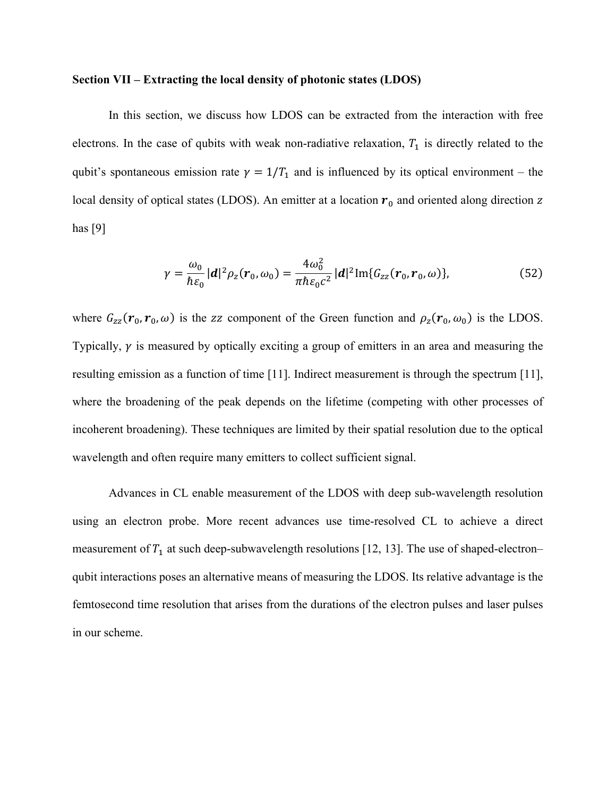#### **Section VII – Extracting the local density of photonic states (LDOS)**

In this section, we discuss how LDOS can be extracted from the interaction with free electrons. In the case of qubits with weak non-radiative relaxation,  $T_1$  is directly related to the qubit's spontaneous emission rate  $\gamma = 1/T_1$  and is influenced by its optical environment – the local density of optical states (LDOS). An emitter at a location  $r_0$  and oriented along direction z has [9]

$$
\gamma = \frac{\omega_0}{\hbar \varepsilon_0} |d|^2 \rho_z(\mathbf{r}_0, \omega_0) = \frac{4\omega_0^2}{\pi \hbar \varepsilon_0 c^2} |d|^2 \text{Im}\{G_{zz}(\mathbf{r}_0, \mathbf{r}_0, \omega)\},
$$
(52)

where  $G_{zz}(\mathbf{r}_0, \mathbf{r}_0, \omega)$  is the zz component of the Green function and  $\rho_z(\mathbf{r}_0, \omega_0)$  is the LDOS. Typically,  $\gamma$  is measured by optically exciting a group of emitters in an area and measuring the resulting emission as a function of time [11]. Indirect measurement is through the spectrum [11], where the broadening of the peak depends on the lifetime (competing with other processes of incoherent broadening). These techniques are limited by their spatial resolution due to the optical wavelength and often require many emitters to collect sufficient signal.

Advances in CL enable measurement of the LDOS with deep sub-wavelength resolution using an electron probe. More recent advances use time-resolved CL to achieve a direct measurement of  $T_1$  at such deep-subwavelength resolutions [12, 13]. The use of shaped-electron– qubit interactions poses an alternative means of measuring the LDOS. Its relative advantage is the femtosecond time resolution that arises from the durations of the electron pulses and laser pulses in our scheme.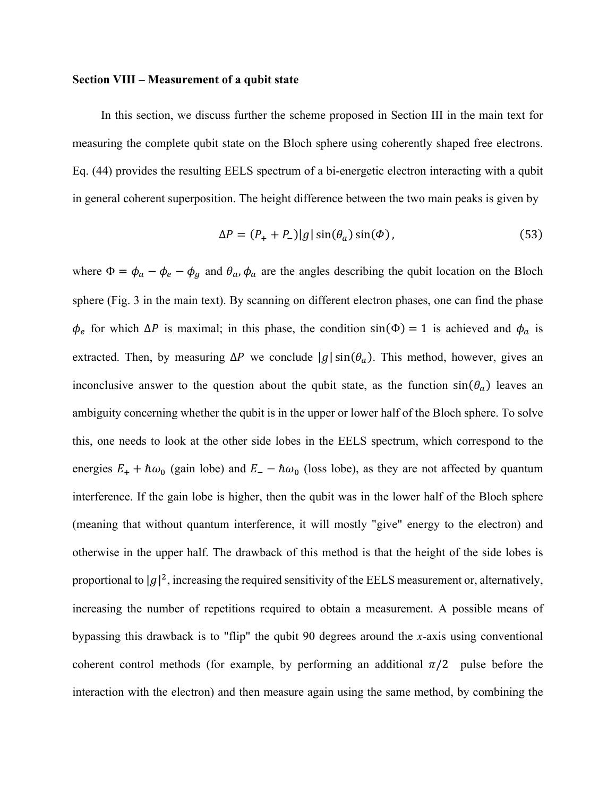#### **Section VIII – Measurement of a qubit state**

In this section, we discuss further the scheme proposed in Section III in the main text for measuring the complete qubit state on the Bloch sphere using coherently shaped free electrons. Eq. (44) provides the resulting EELS spectrum of a bi-energetic electron interacting with a qubit in general coherent superposition. The height difference between the two main peaks is given by

$$
\Delta P = (P_+ + P_-)|g| \sin(\theta_a) \sin(\Phi), \qquad (53)
$$

where  $\Phi = \phi_a - \phi_e - \phi_g$  and  $\theta_a$ ,  $\phi_a$  are the angles describing the qubit location on the Bloch sphere (Fig. 3 in the main text). By scanning on different electron phases, one can find the phase  $\phi_e$  for which  $\Delta P$  is maximal; in this phase, the condition sin( $\Phi$ ) = 1 is achieved and  $\phi_a$  is extracted. Then, by measuring  $\Delta P$  we conclude  $|g| \sin(\theta_a)$ . This method, however, gives an inconclusive answer to the question about the qubit state, as the function  $sin(\theta_a)$  leaves an ambiguity concerning whether the qubit is in the upper or lower half of the Bloch sphere. To solve this, one needs to look at the other side lobes in the EELS spectrum, which correspond to the energies  $E_+ + \hbar \omega_0$  (gain lobe) and  $E_- - \hbar \omega_0$  (loss lobe), as they are not affected by quantum interference. If the gain lobe is higher, then the qubit was in the lower half of the Bloch sphere (meaning that without quantum interference, it will mostly "give" energy to the electron) and otherwise in the upper half. The drawback of this method is that the height of the side lobes is proportional to  $|g|^2$ , increasing the required sensitivity of the EELS measurement or, alternatively, increasing the number of repetitions required to obtain a measurement. A possible means of bypassing this drawback is to "flip" the qubit 90 degrees around the *x-*axis using conventional coherent control methods (for example, by performing an additional  $\pi/2$  pulse before the interaction with the electron) and then measure again using the same method, by combining the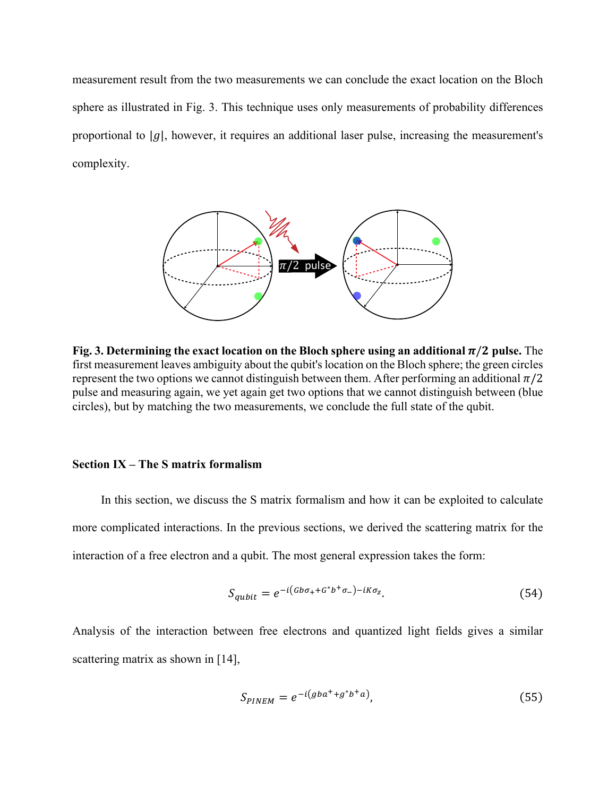measurement result from the two measurements we can conclude the exact location on the Bloch sphere as illustrated in Fig. 3. This technique uses only measurements of probability differences proportional to  $|g|$ , however, it requires an additional laser pulse, increasing the measurement's complexity.



**Fig. 3. Determining the exact location on the Bloch sphere using an additional**  $\pi/2$  **pulse. The** first measurement leaves ambiguity about the qubit's location on the Bloch sphere; the green circles represent the two options we cannot distinguish between them. After performing an additional  $\pi/2$ pulse and measuring again, we yet again get two options that we cannot distinguish between (blue circles), but by matching the two measurements, we conclude the full state of the qubit.

#### **Section IX – The S matrix formalism**

In this section, we discuss the S matrix formalism and how it can be exploited to calculate more complicated interactions. In the previous sections, we derived the scattering matrix for the interaction of a free electron and a qubit. The most general expression takes the form:

$$
S_{qubit} = e^{-i(\text{Gb}\sigma_+ + \text{G}^*b^+\sigma_-) - i\text{K}\sigma_z}.
$$
\n(54)

Analysis of the interaction between free electrons and quantized light fields gives a similar scattering matrix as shown in [14],

$$
S_{PINEM} = e^{-i(gba^+ + g^*b^+a)},
$$
\n(55)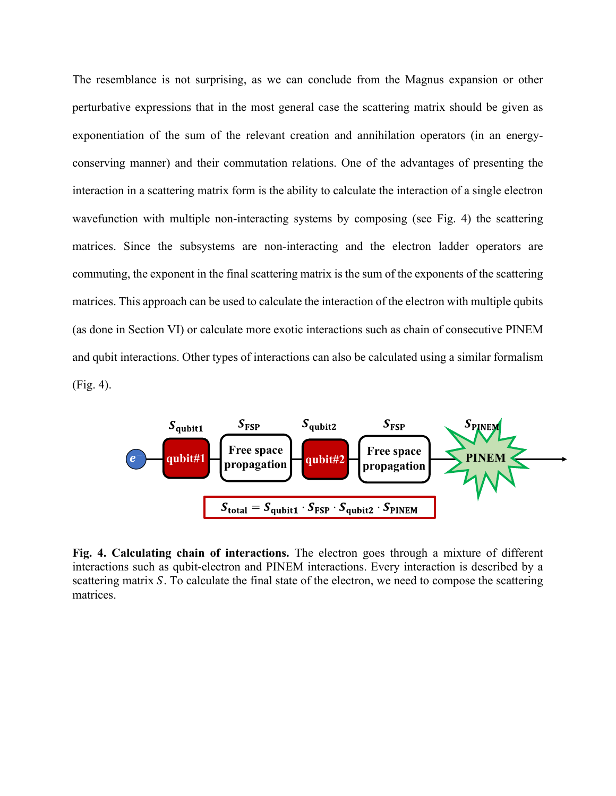The resemblance is not surprising, as we can conclude from the Magnus expansion or other perturbative expressions that in the most general case the scattering matrix should be given as exponentiation of the sum of the relevant creation and annihilation operators (in an energyconserving manner) and their commutation relations. One of the advantages of presenting the interaction in a scattering matrix form is the ability to calculate the interaction of a single electron wavefunction with multiple non-interacting systems by composing (see Fig. 4) the scattering matrices. Since the subsystems are non-interacting and the electron ladder operators are commuting, the exponent in the final scattering matrix is the sum of the exponents of the scattering matrices. This approach can be used to calculate the interaction of the electron with multiple qubits (as done in Section VI) or calculate more exotic interactions such as chain of consecutive PINEM and qubit interactions. Other types of interactions can also be calculated using a similar formalism (Fig. 4).



**Fig. 4. Calculating chain of interactions.** The electron goes through a mixture of different interactions such as qubit-electron and PINEM interactions. Every interaction is described by a scattering matrix S. To calculate the final state of the electron, we need to compose the scattering matrices.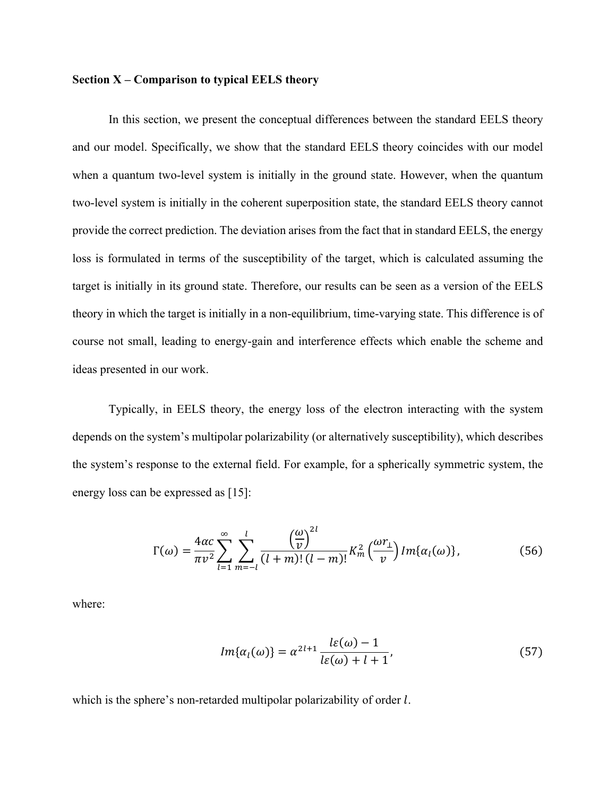#### **Section X – Comparison to typical EELS theory**

In this section, we present the conceptual differences between the standard EELS theory and our model. Specifically, we show that the standard EELS theory coincides with our model when a quantum two-level system is initially in the ground state. However, when the quantum two-level system is initially in the coherent superposition state, the standard EELS theory cannot provide the correct prediction. The deviation arises from the fact that in standard EELS, the energy loss is formulated in terms of the susceptibility of the target, which is calculated assuming the target is initially in its ground state. Therefore, our results can be seen as a version of the EELS theory in which the target is initially in a non-equilibrium, time-varying state. This difference is of course not small, leading to energy-gain and interference effects which enable the scheme and ideas presented in our work.

Typically, in EELS theory, the energy loss of the electron interacting with the system depends on the system's multipolar polarizability (or alternatively susceptibility), which describes the system's response to the external field. For example, for a spherically symmetric system, the energy loss can be expressed as [15]:

$$
\Gamma(\omega) = \frac{4\alpha c}{\pi v^2} \sum_{l=1}^{\infty} \sum_{m=-l}^{l} \frac{\left(\frac{\omega}{v}\right)^{2l}}{(l+m)!(l-m)!} K_m^2\left(\frac{\omega r_{\perp}}{v}\right) Im\{\alpha_l(\omega)\},\tag{56}
$$

where:

$$
Im\{\alpha_l(\omega)\} = \alpha^{2l+1} \frac{l\varepsilon(\omega) - 1}{l\varepsilon(\omega) + l + 1},\tag{57}
$$

which is the sphere's non-retarded multipolar polarizability of order  $l$ .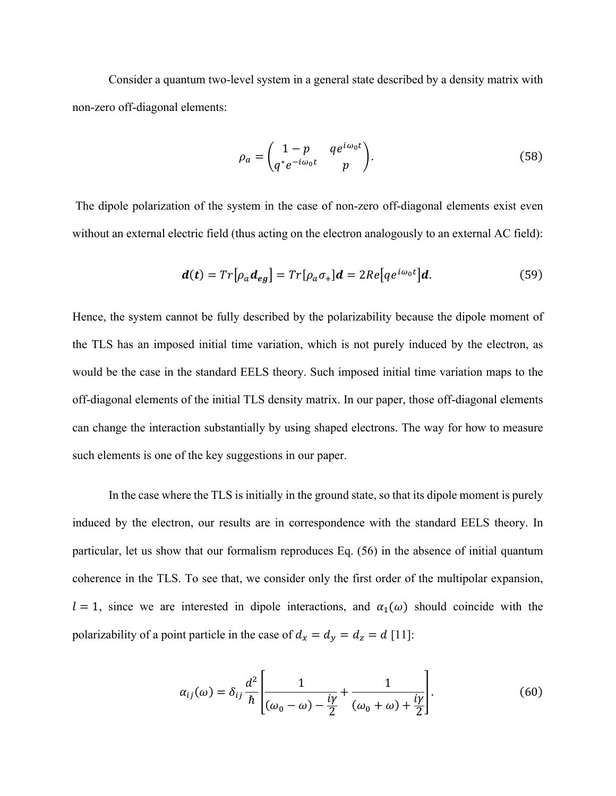Consider a quantum two-level system in a general state described by a density matrix with non-zero off-diagonal elements:

$$
\rho_a = \begin{pmatrix} 1 - p & q e^{i\omega_0 t} \\ q^* e^{-i\omega_0 t} & p \end{pmatrix}.
$$
\n(58)

The dipole polarization of the system in the case of non-zero off-diagonal elements exist even without an external electric field (thus acting on the electron analogously to an external AC field):

$$
\boldsymbol{d}(\boldsymbol{t}) = Tr[\rho_a \boldsymbol{d}_{eg}] = Tr[\rho_a \sigma_+] \boldsymbol{d} = 2Re[q e^{i\omega_0 t}] \boldsymbol{d}.
$$
 (59)

Hence, the system cannot be fully described by the polarizability because the dipole moment of the TLS has an imposed initial time variation, which is not purely induced by the electron, as would be the case in the standard EELS theory. Such imposed initial time variation maps to the off-diagonal elements of the initial TLS density matrix. In our paper, those off-diagonal elements can change the interaction substantially by using shaped electrons. The way for how to measure such elements is one of the key suggestions in our paper.

In the case where the TLS is initially in the ground state, so that its dipole moment is purely induced by the electron, our results are in correspondence with the standard EELS theory. In particular, let us show that our formalism reproduces Eq. (56) in the absence of initial quantum coherence in the TLS. To see that, we consider only the first order of the multipolar expansion,  $l = 1$ , since we are interested in dipole interactions, and  $\alpha_1(\omega)$  should coincide with the polarizability of a point particle in the case of  $d_x = d_y = d_z = d$  [11]:

$$
\alpha_{ij}(\omega) = \delta_{ij} \frac{d^2}{\hbar} \left[ \frac{1}{(\omega_0 - \omega) - \frac{iy}{2}} + \frac{1}{(\omega_0 + \omega) + \frac{iy}{2}} \right].
$$
\n(60)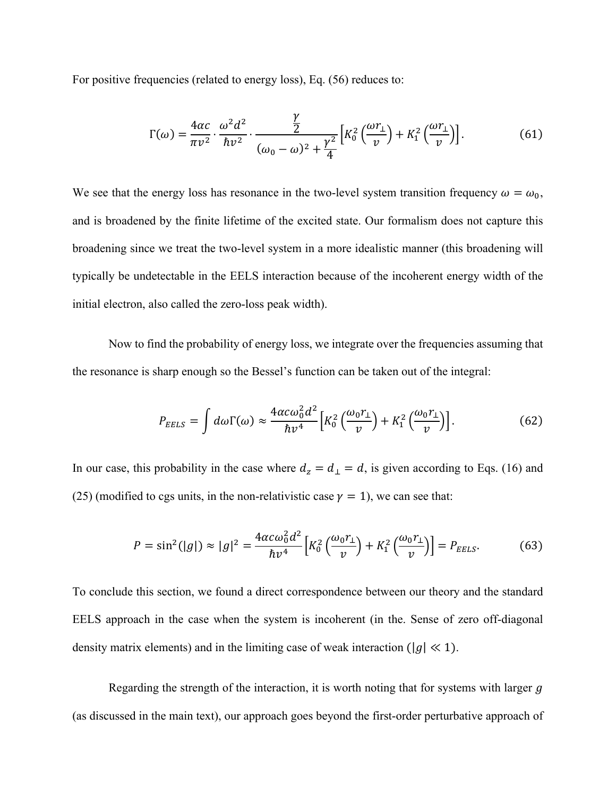For positive frequencies (related to energy loss), Eq. (56) reduces to:

$$
\Gamma(\omega) = \frac{4\alpha c}{\pi v^2} \cdot \frac{\omega^2 d^2}{\hbar v^2} \cdot \frac{\frac{\gamma}{2}}{(\omega_0 - \omega)^2 + \frac{\gamma^2}{4}} \Big[ K_0^2 \left( \frac{\omega r_\perp}{v} \right) + K_1^2 \left( \frac{\omega r_\perp}{v} \right) \Big].
$$
 (61)

We see that the energy loss has resonance in the two-level system transition frequency  $\omega = \omega_0$ , and is broadened by the finite lifetime of the excited state. Our formalism does not capture this broadening since we treat the two-level system in a more idealistic manner (this broadening will typically be undetectable in the EELS interaction because of the incoherent energy width of the initial electron, also called the zero-loss peak width).

Now to find the probability of energy loss, we integrate over the frequencies assuming that the resonance is sharp enough so the Bessel's function can be taken out of the integral:

$$
P_{EELS} = \int d\omega \Gamma(\omega) \approx \frac{4\alpha c \omega_0^2 d^2}{\hbar v^4} \Big[ K_0^2 \left( \frac{\omega_0 r_1}{v} \right) + K_1^2 \left( \frac{\omega_0 r_1}{v} \right) \Big]. \tag{62}
$$

In our case, this probability in the case where  $d_z = d_\perp = d$ , is given according to Eqs. (16) and (25) (modified to cgs units, in the non-relativistic case  $\gamma = 1$ ), we can see that:

$$
P = \sin^2(|g|) \approx |g|^2 = \frac{4\alpha c \omega_0^2 d^2}{\hbar v^4} \left[ K_0^2 \left( \frac{\omega_0 r_1}{v} \right) + K_1^2 \left( \frac{\omega_0 r_1}{v} \right) \right] = P_{EELS}.
$$
 (63)

To conclude this section, we found a direct correspondence between our theory and the standard EELS approach in the case when the system is incoherent (in the. Sense of zero off-diagonal density matrix elements) and in the limiting case of weak interaction ( $|g| \ll 1$ ).

Regarding the strength of the interaction, it is worth noting that for systems with larger  $g$ (as discussed in the main text), our approach goes beyond the first-order perturbative approach of